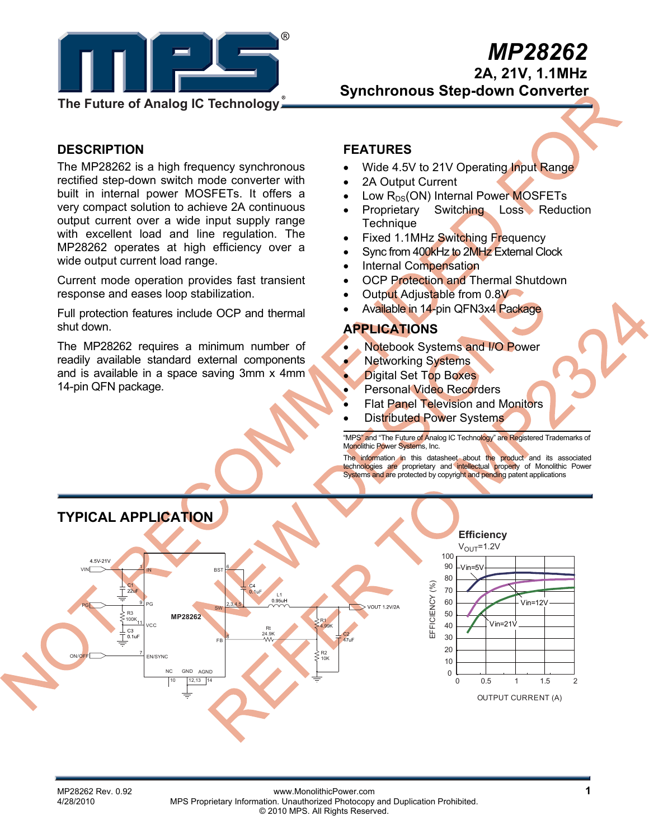

**2A, 21V, 1.1MHz** 

 **Synchronous Step-down Converter** 

#### **DESCRIPTION**

The MP28262 is a high frequency synchronous rectified step-down switch mode converter with built in internal power MOSFETs. It offers a very compact solution to achieve 2A continuous output current over a wide input supply range with excellent load and line regulation. The MP28262 operates at high efficiency over a wide output current load range.

Current mode operation provides fast transient response and eases loop stabilization.

Full protection features include OCP and thermal shut down.

The MP28262 requires a minimum number of readily available standard external components and is available in a space saving 3mm x 4mm 14-pin QFN package.

### **FEATURES**

- Wide 4.5V to 21V Operating Input Range
- 2A Output Current
- Low  $R_{DS}(ON)$  Internal Power MOSFETs
- **Proprietary Switching Loss Reduction Technique**
- Fixed 1.1MHz Switching Frequency
- Sync from 400kHz to 2MHz External Clock
- Internal Compensation
- **OCP Protection and Thermal Shutdown**
- Output Adjustable from 0.8V
- Available in 14-pin QFN3x4 Package

#### **APPLICATIONS**

- Notebook Systems and I/O Power
- **Networking Systems**
- **Digital Set Top Boxes**
- Personal Video Recorders
- **Flat Panel Television and Monitors**
- **Distributed Power Systems**

"MPS" and "The Future of Analog IC Technology" are Registered Trademarks of Monolithic Power Systems, Inc.

The information in this datasheet about the product and its associated technologies are proprietary and intellectual property of Monolithic Power Systems and are protected by copyright and pending patent applications



MP28262 Rev. 0.92 **MP28262 Rev. 0.92** www.MonolithicPower.com<br>4/28/2010 MPS Proprietary Information Unauthorized Photocopy and Duplication Prohibited MPS Proprietary Information. Unauthorized Photocopy and Duplication Prohibited. © 2010 MPS. All Rights Reserved.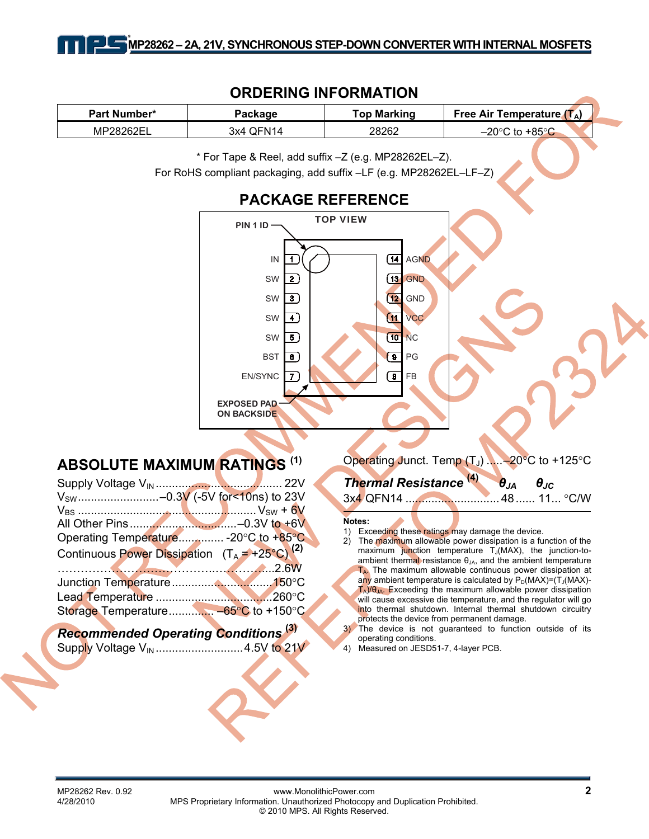### **ORDERING INFORMATION**

| <b>Part Number*</b> | Package   | <b>Top Marking</b> | Free Air Temperature $(T_A)$ |  |
|---------------------|-----------|--------------------|------------------------------|--|
| MP28262EL           | 3x4 QFN14 | 28262              | –20°C to +85° <i>Γ</i>       |  |

\* For Tape & Reel, add suffix –Z (e.g. MP28262EL–Z).

For RoHS compliant packaging, add suffix –LF (e.g. MP28262EL–LF–Z)

# **PACKAGE REFERENCE**



# **ABSOLUTE MAXIMUM RATINGS (1)**

| V <sub>sw</sub> -0.3V (-5V for<10ns) to 23V               |  |
|-----------------------------------------------------------|--|
|                                                           |  |
|                                                           |  |
| Operating Temperature - 20°C to +85°C                     |  |
| Continuous Power Dissipation $(T_A = +25^{\circ}C)^{(2)}$ |  |
|                                                           |  |
|                                                           |  |
|                                                           |  |
| Storage Temperature -65°C to +150°C                       |  |
|                                                           |  |

### *Recommended Operating Conditions* **(3)** Supply Voltage V<sub>IN</sub> ...............................4.5V to 21V

Operating Junct. Temp  $(T_1)$  .....–20 $^{\circ}$ C to +125 $^{\circ}$ C

| Thermal Resistance <sup>(4)</sup> | $\theta_{JA}$ $\theta_{JC}$ |  |
|-----------------------------------|-----------------------------|--|
|                                   |                             |  |

#### **Notes:**

- 1) Exceeding these ratings may damage the device.
- 2) The maximum allowable power dissipation is a function of the maximum junction temperature  $T_{\mathrm{J}}(MAX)$ , the junction-toambient thermal resistance  $\theta_{JA}$ , and the ambient temperature  $T_A$ . The maximum allowable continuous power dissipation at any ambient temperature is calculated by  $P_D(MAX)=(T_J(MAX)-T_J(MAX))$  $T_A$ )/ $\theta_{JA}$ . Exceeding the maximum allowable power dissipation will cause excessive die temperature, and the regulator will go into thermal shutdown. Internal thermal shutdown circuitry protects the device from permanent damage.
- 3) The device is not guaranteed to function outside of its operating conditions.
- 4) Measured on JESD51-7, 4-layer PCB.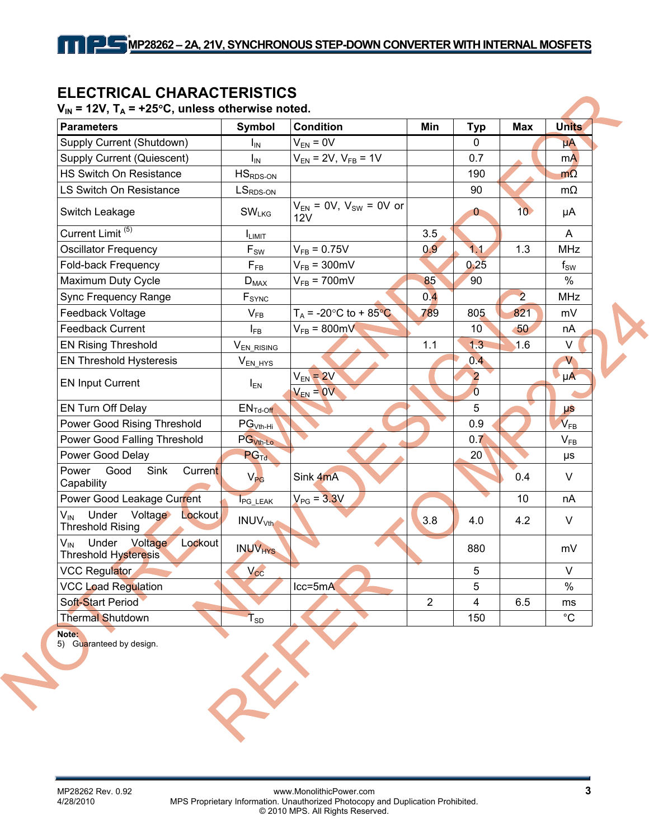# **ELECTRICAL CHARACTERISTICS**

### $V_{\text{in}} = 12V$ ,  $T_{\text{in}} = +25^{\circ}C$ , unless otherwise noted.

| <b>Parameters</b>                                                         | Symbol                      | <b>Condition</b>                       | Min            | <b>Typ</b>      | <b>Max</b>      | <b>Units</b>               |
|---------------------------------------------------------------------------|-----------------------------|----------------------------------------|----------------|-----------------|-----------------|----------------------------|
| Supply Current (Shutdown)                                                 | $I_{IN}$                    | $V_{EN} = 0V$                          |                | $\Omega$        |                 | $\mu A$                    |
| <b>Supply Current (Quiescent)</b>                                         | $I_{IN}$                    | $V_{EN}$ = 2V, $V_{FB}$ = 1V           |                | 0.7             |                 | m <sub>A</sub>             |
| HS Switch On Resistance                                                   | $HSRDS-ON$                  |                                        |                | 190             |                 | $m\Omega$                  |
| LS Switch On Resistance                                                   | $LSRDS-ON$                  |                                        |                | 90              |                 | $m\Omega$                  |
| Switch Leakage                                                            | SW <sub>LKG</sub>           | $V_{EN}$ = 0V, $V_{SW}$ = 0V or<br>12V |                | $\mathbf{0}$    | 10 <sup>°</sup> | μA                         |
| Current Limit <sup>(5)</sup>                                              | I <sub>LIMIT</sub>          |                                        | 3.5            |                 |                 | $\overline{A}$             |
| <b>Oscillator Frequency</b>                                               | $\mathsf{F}_{\mathsf{SW}}$  | $V_{FB} = 0.75V$                       | 0.9            | 1.1             | 1.3             | <b>MHz</b>                 |
| Fold-back Frequency                                                       | $\mathsf{F}_{\mathsf{FB}}$  | $V_{FB} = 300 \text{mV}$               |                | 0.25            |                 | $f_{SW}$                   |
| Maximum Duty Cycle                                                        | $\mathsf{D}_{\mathsf{MAX}}$ | $V_{FB}$ = 700mV                       | 85             | 90              |                 | $\%$                       |
| Sync Frequency Range                                                      | F <sub>SYNC</sub>           |                                        | 0.4            |                 | $\overline{2}$  | <b>MHz</b>                 |
| Feedback Voltage                                                          | $V_{FB}$                    | $T_A$ = -20°C to + 85°C                | 789            | 805             | 821             | mV                         |
| <b>Feedback Current</b>                                                   | $I_{FB}$                    | $V_{FB} = 800 \text{mV}$               |                | 10 <sup>1</sup> | 50              | nA                         |
| <b>EN Rising Threshold</b>                                                | V <sub>EN_RISING</sub>      |                                        | 1.1            | 1.3             | 1.6             | V                          |
| <b>EN Threshold Hysteresis</b>                                            | $V_{EN_HYS}$                |                                        |                | 0.4             |                 | V                          |
| <b>EN Input Current</b>                                                   | $I_{EN}$                    | $V_{EN}$ = 2V                          |                | $\overline{2}$  |                 | $\mu$ A                    |
|                                                                           |                             | $V_{EN} = 0V$                          |                | $\overline{0}$  |                 |                            |
| EN Turn Off Delay                                                         | $ENTd-Off$                  |                                        |                | 5               |                 | μŝ                         |
| Power Good Rising Threshold                                               | $PGVth-Hi$                  |                                        |                | 0.9             |                 | $V_{FB}$                   |
| Power Good Falling Threshold                                              | PG <sub>Vth-Lo</sub>        |                                        |                | 0.7             |                 | $\mathsf{V}_{\mathsf{FB}}$ |
| Power Good Delay                                                          | <b>PG<sub>Td</sub></b>      |                                        |                | 20              |                 | μs                         |
| Power<br>Good<br>Sink<br>Current<br>Capability                            | $V_{PG}$                    | Sink 4mA                               |                |                 | 0.4             | V                          |
| Power Good Leakage Current                                                | <b>I</b> PG_LEAK            | $V_{PG} = 3.3V$                        |                |                 | 10              | nA                         |
| Under<br>Voltage<br>$V_{\text{IN}}$<br>Lockout<br><b>Threshold Rising</b> | <b>INUV<sub>Vth</sub></b>   |                                        | 3.8            | 4.0             | 4.2             | $\vee$                     |
| Under<br>Voltage<br>$V_{\text{IN}}$<br>Lockout<br>Threshold Hysteresis    | <b>INUV<sub>HYS</sub></b>   |                                        |                | 880             |                 | mV                         |
| <b>VCC Regulator</b>                                                      | Vcc                         |                                        |                | 5               |                 | $\vee$                     |
| <b>VCC Load Regulation</b>                                                |                             | $lcc = 5mA$                            |                | 5               |                 | $\frac{0}{0}$              |
| Soft-Start Period                                                         |                             |                                        | $\overline{2}$ | 4               | 6.5             | ms                         |
| <b>Thermal Shutdown</b>                                                   | $T_{SD}$                    |                                        |                | 150             |                 | $^{\circ}C$                |

**Note:** 

5) Guaranteed by design.

XX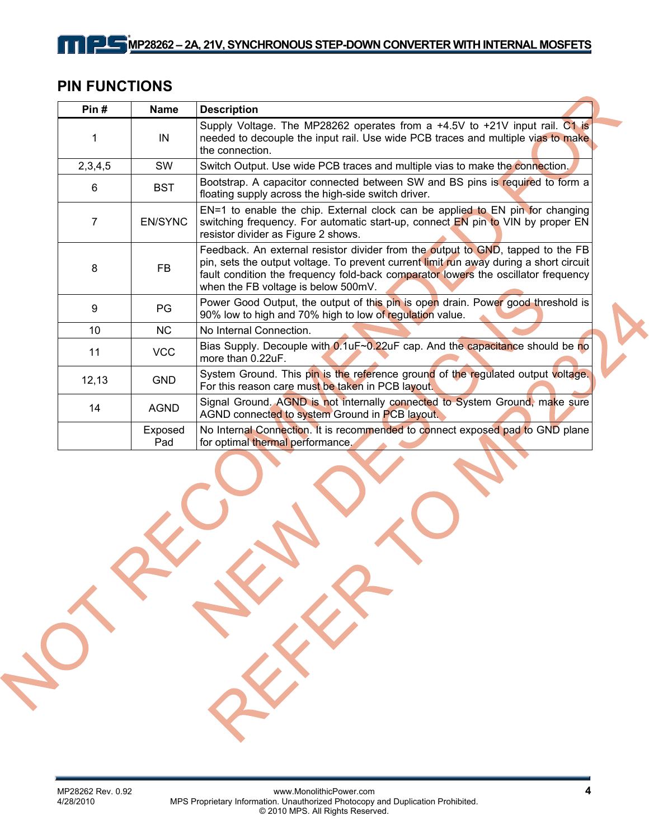# **PIN FUNCTIONS**

 $\blacksquare$ 

| Pin $#$ | <b>Name</b>    | <b>Description</b>                                                                                                                                                                                                                                                                                     |
|---------|----------------|--------------------------------------------------------------------------------------------------------------------------------------------------------------------------------------------------------------------------------------------------------------------------------------------------------|
|         | IN             | Supply Voltage. The MP28262 operates from a +4.5V to +21V input rail. C1 is<br>needed to decouple the input rail. Use wide PCB traces and multiple vias to make<br>the connection.                                                                                                                     |
| 2,3,4,5 | <b>SW</b>      | Switch Output. Use wide PCB traces and multiple vias to make the connection.                                                                                                                                                                                                                           |
| 6       | <b>BST</b>     | Bootstrap. A capacitor connected between SW and BS pins is required to form a<br>floating supply across the high-side switch driver.                                                                                                                                                                   |
| 7       | <b>EN/SYNC</b> | EN=1 to enable the chip. External clock can be applied to EN pin for changing<br>switching frequency. For automatic start-up, connect EN pin to VIN by proper EN<br>resistor divider as Figure 2 shows.                                                                                                |
| 8       | <b>FB</b>      | Feedback. An external resistor divider from the output to GND, tapped to the FB<br>pin, sets the output voltage. To prevent current limit run away during a short circuit<br>fault condition the frequency fold-back comparator lowers the oscillator frequency<br>when the FB voltage is below 500mV. |
| 9       | PG             | Power Good Output, the output of this pin is open drain. Power good threshold is<br>90% low to high and 70% high to low of regulation value.                                                                                                                                                           |
| 10      | <b>NC</b>      | No Internal Connection.                                                                                                                                                                                                                                                                                |
| 11      | <b>VCC</b>     | Bias Supply. Decouple with 0.1uF~0.22uF cap. And the capacitance should be no<br>more than $0.22uF$ .                                                                                                                                                                                                  |
| 12, 13  | <b>GND</b>     | System Ground. This pin is the reference ground of the regulated output voltage.<br>For this reason care must be taken in PCB layout.                                                                                                                                                                  |
| 14      | <b>AGND</b>    | Signal Ground. AGND is not internally connected to System Ground, make sure<br>AGND connected to system Ground in PCB layout.                                                                                                                                                                          |
|         | Exposed<br>Pad | No Internal Connection. It is recommended to connect exposed pad to GND plane<br>for optimal thermal performance.                                                                                                                                                                                      |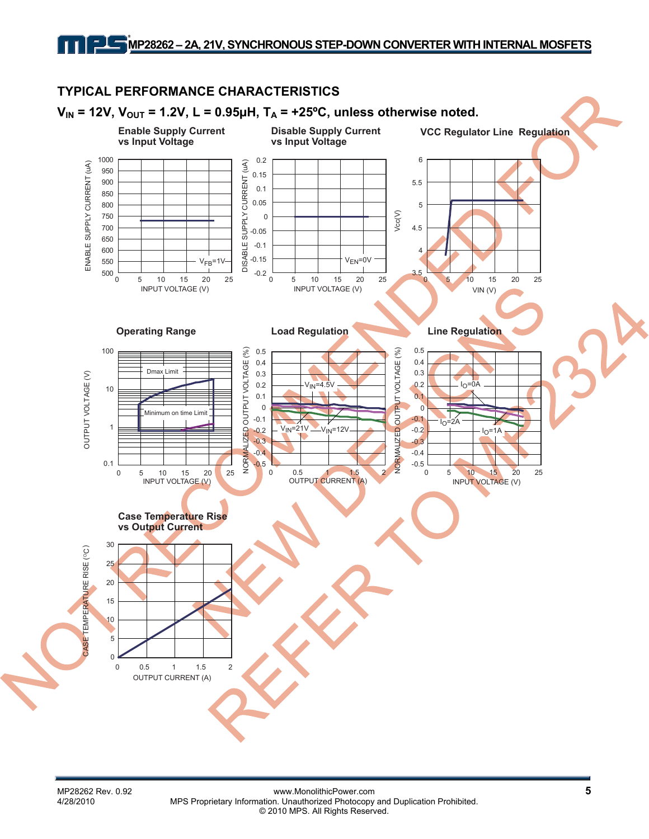# **MP28262 – 2A, 21V, SYNCHRONOUS STEP-DOWN CONVERTER WITH INTERNAL MOSFETS**

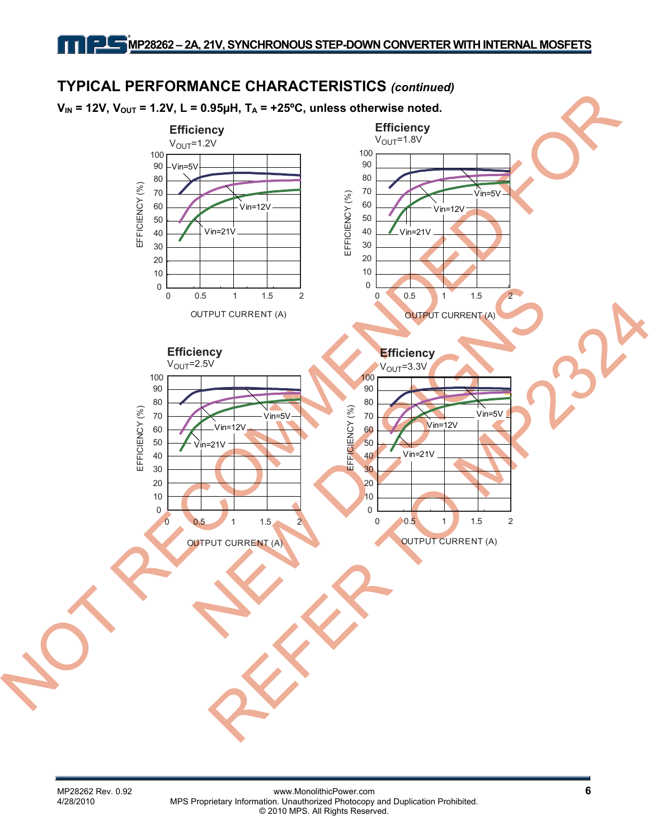#### **TYPICAL PERFORMANCE CHARACTERISTICS** *(continued)*  $V_{IN}$  = 12V,  $V_{OUT}$  = 1.2V, L = 0.95 $\mu$ H, T<sub>A</sub> = +25°C, unless otherwise noted. **Efficiency Efficiency**  $V<sub>OUT</sub>=1.8V$  $V<sub>OUT</sub>=1.2V$ 100 100 90 90 Vin= $5\%$ 80 80 EFFICIENCY (%) EFFICIENCY (%) 70 70 Vin=5V EFFICIENCY (%) EFFICIENCY (%) 60 60 Vin=12V Vin=12V 50 50 40 Vin=21V Vin=21V 40 30 30 20 20 10 10 0 0 0 0.5 1 1.5 2 0 0.5 1 1.5 2 OUTPUT CURRENT (A) OUTPUT CURRENT (A) **Efficiency Efficiency**  $V<sub>OUT</sub>=2.5V$  $V<sub>OUT</sub>=3.3V$ 100 100 90 90 80 80 EFFICIENCY (%) EFFICIENCY (%) EFFICIENCY (%) EFFICIENCY (%) Vin=5V70 70 Vin=5V Vin=12V Vin=12V 60 60 50 50 Vin=21V Vin=21V 40 40 30 30 20 20 10 10 0  $\overline{0}$  $0 \t 0.5 \t 1 \t 1.5 \t 2$ 0 0.5 1 1.5 2 OUTPUT CURRENT (A) OUTPUT CURRENT (A)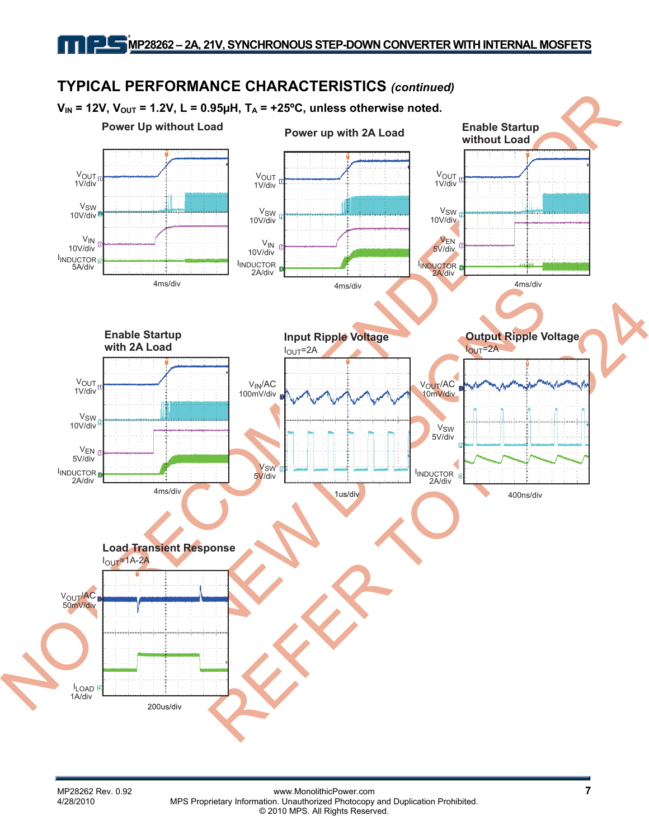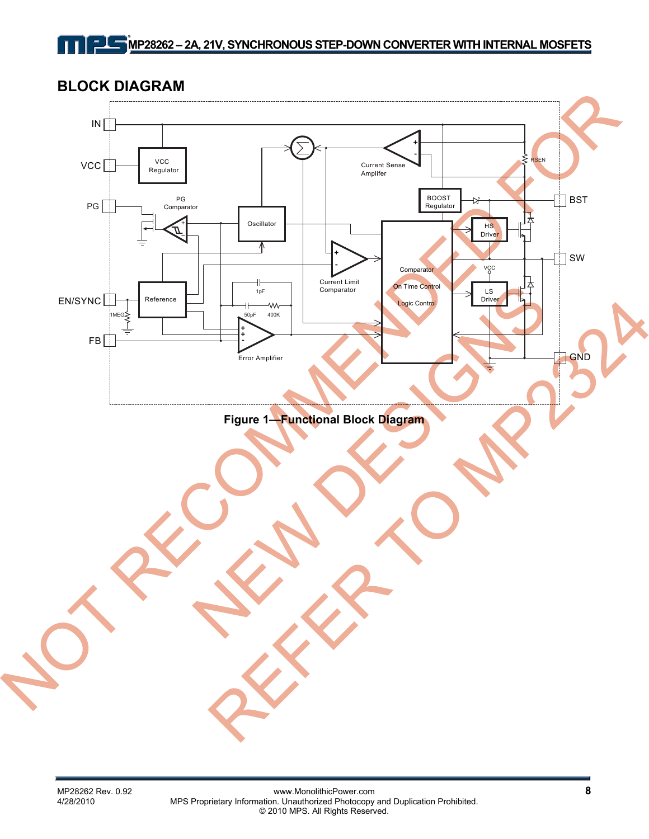**BLOCK DIAGRAM** 

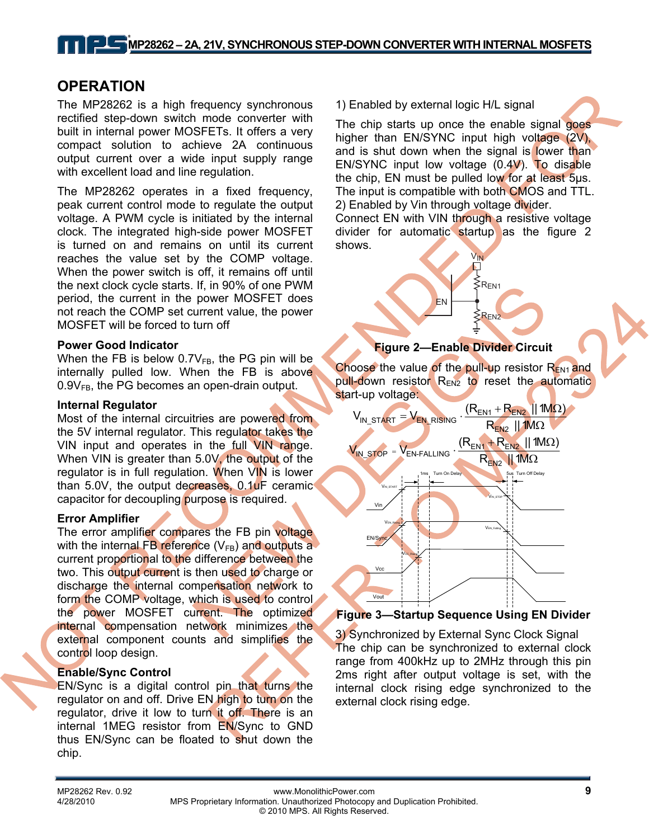## **OPERATION**

The MP28262 is a high frequency synchronous rectified step-down switch mode converter with built in internal power MOSFETs. It offers a very compact solution to achieve 2A continuous output current over a wide input supply range with excellent load and line regulation.

The MP28262 operates in a fixed frequency, peak current control mode to regulate the output voltage. A PWM cycle is initiated by the internal clock. The integrated high-side power MOSFET is turned on and remains on until its current reaches the value set by the COMP voltage. When the power switch is off, it remains off until the next clock cycle starts. If, in 90% of one PWM period, the current in the power MOSFET does not reach the COMP set current value, the power MOSFET will be forced to turn off

#### **Power Good Indicator**

When the FB is below  $0.7V_{FB}$ , the PG pin will be internally pulled low. When the FB is above  $0.9V_{FB}$ , the PG becomes an open-drain output.

#### **Internal Regulator**

Most of the internal circuitries are powered from the 5V internal regulator. This regulator takes the VIN input and operates in the full VIN range. When VIN is greater than 5.0V, the output of the regulator is in full regulation. When VIN is lower than 5.0V, the output decreases, 0.1uF ceramic capacitor for decoupling purpose is required.

#### **Error Amplifier**

The error amplifier compares the FB pin voltage with the internal FB reference  $(V_{FB})$  and outputs a current proportional to the difference between the two. This output current is then used to charge or discharge the internal compensation network to form the COMP voltage, which is used to control the power MOSFET current. The optimized internal compensation network minimizes the external component counts and simplifies the control loop design.

#### **Enable/Sync Control**

EN/Sync is a digital control pin that turns the regulator on and off. Drive EN high to turn on the regulator, drive it low to turn it off. There is an internal 1MEG resistor from EN/Sync to GND thus EN/Sync can be floated to shut down the chip.

1) Enabled by external logic H/L signal

The chip starts up once the enable signal goes higher than EN/SYNC input high voltage (2V), and is shut down when the signal is lower than EN/SYNC input low voltage (0.4V). To disable the chip, EN must be pulled low for at least 5µs. The input is compatible with both CMOS and TTL. 2) Enabled by Vin through voltage divider.

Connect EN with VIN through a resistive voltage divider for automatic startup as the figure 2 shows.

V<sub>IN</sub>

 $\mathrel{{\dot{\leq}}} \mathsf{R}_{\mathsf{EN1}}$ 

 $\mathsf{R}_{\mathsf{FN}}$ 

### **Figure 2—Enable Divider Circuit**

EN

Choose the value of the pull-up resistor  $R_{EN1}$  and pull-down resistor  $R_{EN2}$  to reset the automatic start-up voltage:



### **Figure 3—Startup Sequence Using EN Divider**

3) Synchronized by External Sync Clock Signal The chip can be synchronized to external clock range from 400kHz up to 2MHz through this pin 2ms right after output voltage is set, with the internal clock rising edge synchronized to the external clock rising edge.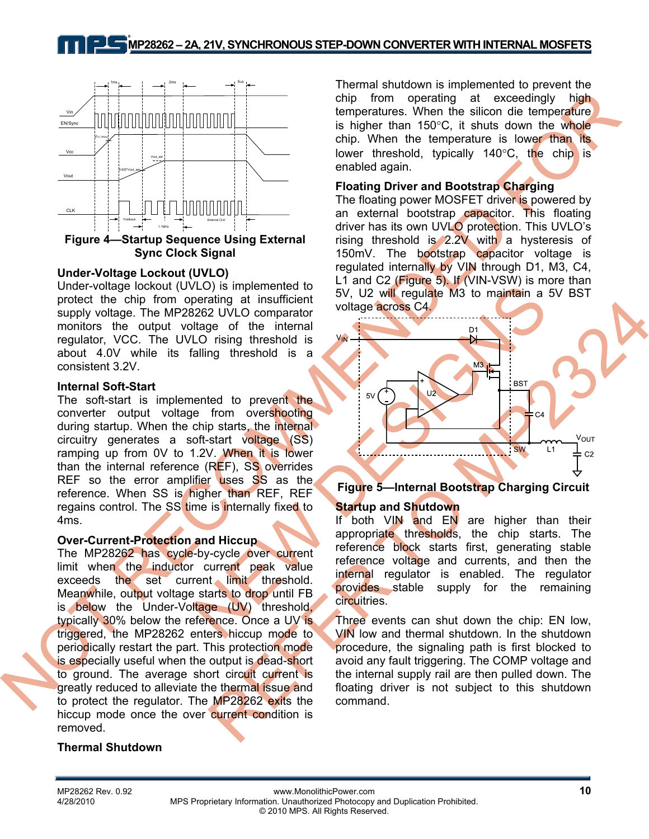

#### **Under-Voltage Lockout (UVLO)**

Under-voltage lockout (UVLO) is implemented to protect the chip from operating at insufficient supply voltage. The MP28262 UVLO comparator monitors the output voltage of the internal regulator, VCC. The UVLO rising threshold is about 4.0V while its falling threshold is a consistent 3.2V.

#### **Internal Soft-Start**

The soft-start is implemented to prevent the converter output voltage from overshooting during startup. When the chip starts, the internal circuitry generates a soft-start voltage (SS) ramping up from 0V to 1.2V. When it is lower than the internal reference (REF), SS overrides REF so the error amplifier uses SS as the reference. When SS is higher than REF, REF regains control. The SS time is internally fixed to 4ms.

#### **Over-Current-Protection and Hiccup**

The MP28262 has cycle-by-cycle over current limit when the inductor current peak value exceeds the set current limit threshold. Meanwhile, output voltage starts to drop until FB is below the Under-Voltage (UV) threshold, typically 30% below the reference. Once a UV is triggered, the MP28262 enters hiccup mode to periodically restart the part. This protection mode is especially useful when the output is dead-short to ground. The average short circuit current is greatly reduced to alleviate the thermal issue and to protect the regulator. The MP28262 exits the hiccup mode once the over current condition is removed.

#### **Thermal Shutdown**

Thermal shutdown is implemented to prevent the chip from operating at exceedingly high temperatures. When the silicon die temperature is higher than 150°C, it shuts down the whole chip. When the temperature is lower than its lower threshold, typically 140°C, the chip is enabled again.

### **Floating Driver and Bootstrap Charging**

The floating power MOSFET driver is powered by an external bootstrap capacitor. This floating driver has its own UVLO protection. This UVLO's rising threshold is 2.2V with a hysteresis of 150mV. The bootstrap capacitor voltage is regulated internally by VIN through D1, M3, C4, L1 and C2 (Figure 5). If (VIN-VSW) is more than 5V, U2 will regulate M3 to maintain a 5V BST voltage across C4.



### **Figure 5—Internal Bootstrap Charging Circuit**

#### **Startup and Shutdown**

If both VIN and EN are higher than their appropriate thresholds, the chip starts. The reference block starts first, generating stable reference voltage and currents, and then the internal regulator is enabled. The regulator provides stable supply for the remaining circuitries.

Three events can shut down the chip: EN low, VIN low and thermal shutdown. In the shutdown procedure, the signaling path is first blocked to avoid any fault triggering. The COMP voltage and the internal supply rail are then pulled down. The floating driver is not subject to this shutdown command.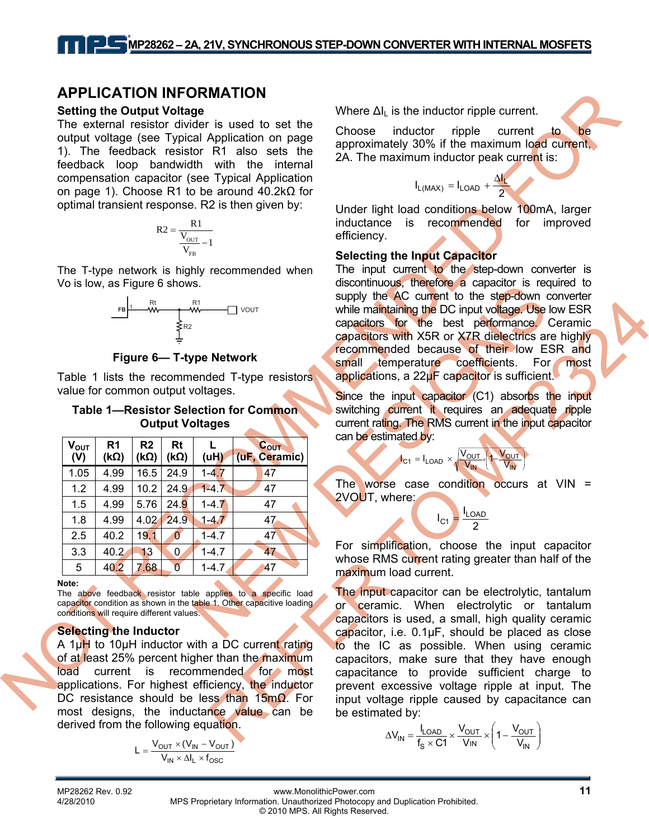### **APPLICATION INFORMATION**

#### **Setting the Output Voltage**

The external resistor divider is used to set the output voltage (see Typical Application on page 1). The feedback resistor R1 also sets the feedback loop bandwidth with the internal compensation capacitor (see Typical Application on page 1). Choose R1 to be around 40.2kΩ for optimal transient response. R2 is then given by:

$$
R2 = \frac{R1}{\frac{V_{\text{OUT}}}{V_{\text{FB}}}-1}
$$

The T-type network is highly recommended when Vo is low, as Figure 6 shows.



**Figure 6— T-type Network**

Table 1 lists the recommended T-type resistors value for common output voltages.

#### **Table 1—Resistor Selection for Common Output Voltages**

| $V_{OUT}$<br>(V) | R <sub>1</sub><br>$(k\Omega)$ | R2<br>$(k\Omega)$ | Rt<br>$(k\Omega)$ | L<br>(uH) | $C_{OUT}$<br>(uF, Ceramic) |
|------------------|-------------------------------|-------------------|-------------------|-----------|----------------------------|
| 1.05             | 4.99                          | 16.5              | 24.9              | $1 - 4.7$ | 47                         |
| 1.2              | 4.99                          | 10.2              | 24.9              | $1-4.7$   | 47                         |
| 1.5              | 4.99                          | 5.76              | 24.9              | $1 - 4.7$ | 47                         |
| 1.8              | 4.99                          | 4.02              | 24.9              | $1 - 4.7$ | 47                         |
| 2.5              | 40.2                          | 19.1              | 0                 | $1 - 4.7$ | 47                         |
| 3.3              | 40.2                          | 13                | 0                 | $1 - 4.7$ | 47                         |
| 5                | 40.2                          | 7.68              | 0                 | $1 - 4.7$ | 47                         |

**Note:** 

The above feedback resistor table applies to a specific load capacitor condition as shown in the table 1. Other capacitive loading conditions will require different values.

### **Selecting the Inductor**

A 1µH to 10µH inductor with a DC current rating of at least 25% percent higher than the maximum load current is recommended for most applications. For highest efficiency, the inductor DC resistance should be less than 15mΩ. For most designs, the inductance value can be derived from the following equation.

$$
L = \frac{V_{OUT} \times (V_{IN} - V_{OUT})}{V_{IN} \times \Delta I_L \times f_{OSC}}
$$

Where  $\Delta I_{\parallel}$  is the inductor ripple current.

Choose inductor ripple current to be approximately 30% if the maximum load current, 2A. The maximum inductor peak current is:

$$
I_{L(MAX)} = I_{LOAD} + \frac{\Delta I_L}{2}
$$

Under light load conditions below 100mA, larger inductance is recommended for improved efficiency.

#### **Selecting the Input Capacitor**

The input current to the step-down converter is discontinuous, therefore a capacitor is required to supply the AC current to the step-down converter while maintaining the DC input voltage. Use low ESR capacitors for the best performance. Ceramic capacitors with X5R or X7R dielectrics are highly recommended because of their low ESR and small temperature coefficients. For most applications, a 22µF capacitor is sufficient.

Since the input capacitor (C1) absorbs the input switching current it requires an adequate ripple current rating. The RMS current in the input capacitor can be estimated by:

$$
I_{C1} = I_{LOAD} \times \sqrt{\frac{V_{OUT}}{V_{IN}}} \left(1 - \frac{V_{OUT}}{V_{IN}}\right)
$$

The worse case condition occurs at  $VIN =$ 2VOUT, where:

 $I_{C1} = \frac{I_{LOAD}}{2}$ 

For simplification, choose the input capacitor whose RMS current rating greater than half of the maximum load current.

The input capacitor can be electrolytic, tantalum or ceramic. When electrolytic or tantalum capacitors is used, a small, high quality ceramic capacitor, i.e. 0.1μF, should be placed as close to the IC as possible. When using ceramic capacitors, make sure that they have enough capacitance to provide sufficient charge to prevent excessive voltage ripple at input. The input voltage ripple caused by capacitance can be estimated by:

$$
\Delta V_{IN} = \frac{I_{LOAD}}{f_S \times C1} \times \frac{V_{OUT}}{V_{IN}} \times \left(1 - \frac{V_{OUT}}{V_{IN}}\right)
$$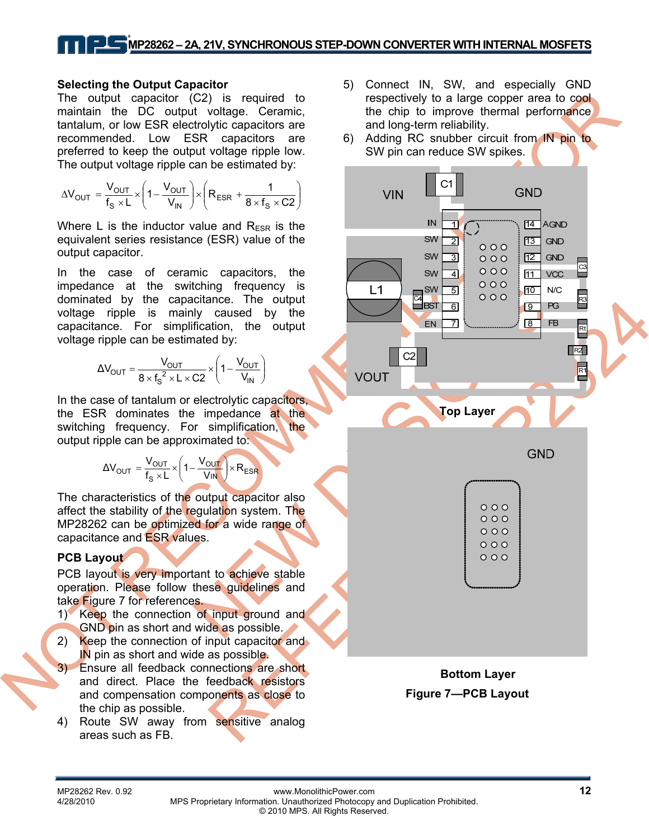# **MP28262 – 2A, 21V, SYNCHRONOUS STEP-DOWN CONVERTER WITH INTERNAL MOSFETS**

#### **Selecting the Output Capacitor**

The output capacitor (C2) is required to maintain the DC output voltage. Ceramic, tantalum, or low ESR electrolytic capacitors are recommended. Low ESR capacitors are preferred to keep the output voltage ripple low. The output voltage ripple can be estimated by:

$$
\Delta V_{OUT} = \frac{V_{OUT}}{f_S \times L} \times \left(1 - \frac{V_{OUT}}{V_{IN}}\right) \times \left(R_{ESR} + \frac{1}{8 \times f_S \times C2}\right)
$$

Where L is the inductor value and  $R_{ESR}$  is the equivalent series resistance (ESR) value of the output capacitor.

In the case of ceramic capacitors, the impedance at the switching frequency is dominated by the capacitance. The output voltage ripple is mainly caused by the capacitance. For simplification, the output voltage ripple can be estimated by:

$$
\Delta V_{OUT} = \frac{V_{OUT}}{8 \times f_s^2 \times L \times C2} \times \left(1 - \frac{V_{OUT}}{V_{IN}}\right)
$$

In the case of tantalum or electrolytic capacitors, the ESR dominates the impedance at the switching frequency. For simplification, the output ripple can be approximated to:

$$
\Delta V_{OUT} = \frac{V_{OUT}}{f_s \times L} \times \left(1 - \frac{V_{OUT}}{V_{IN}}\right) \times R_{ESR}
$$

The characteristics of the output capacitor also affect the stability of the regulation system. The MP28262 can be optimized for a wide range of capacitance and ESR values.

#### **PCB Layout**

PCB layout is very important to achieve stable operation. Please follow these guidelines and take Figure 7 for references.

- 1) Keep the connection of input ground and GND pin as short and wide as possible.
- 2) Keep the connection of input capacitor and IN pin as short and wide as possible.
- 3) Ensure all feedback connections are short and direct. Place the feedback resistors and compensation components as close to the chip as possible.
- 4) Route SW away from sensitive analog areas such as FB.
- 5) Connect IN, SW, and especially GND respectively to a large copper area to cool the chip to improve thermal performance and long-term reliability.
- 6) Adding RC snubber circuit from IN pin to SW pin can reduce SW spikes.



**Figure 7—PCB Layout**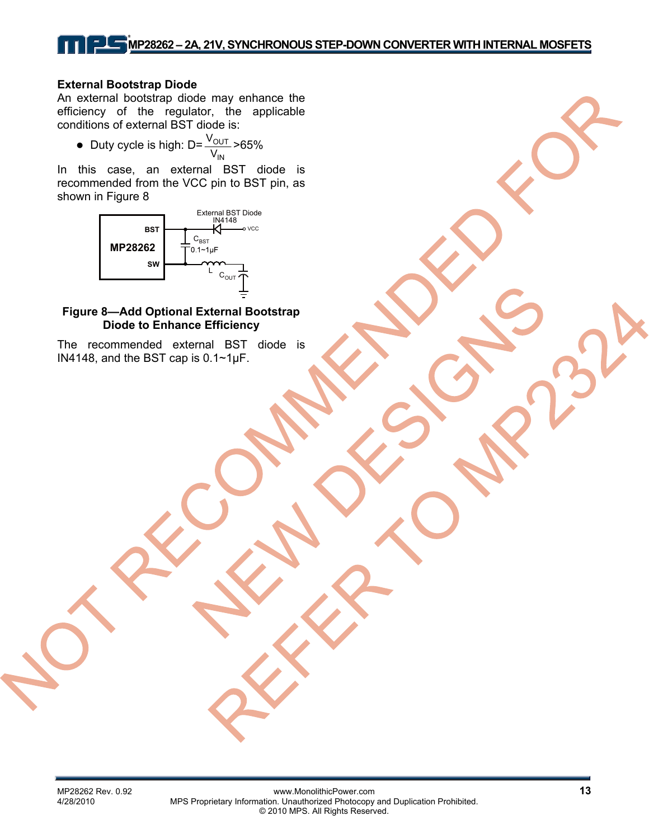# **MP28262 – 2A, 21V, SYNCHRONOUS STEP-DOWN CONVERTER WITH INTERNAL MOSFETS**

#### **External Bootstrap Diode**

An external bootstrap diode may enhance the efficiency of the regulator, the applicable conditions of external BST diode is:

• Duty cycle is high: D= IN OUT  $\frac{\rm V_{OUT}}{\rm V_{IN}}$  >65%

In this case, an external BST diode is recommended from the VCC pin to BST pin, as shown in Figure 8



#### **Figure 8—Add Optional External Bootstrap Diode to Enhance Efficiency**

The recommended external BST diode is IN4148, and the BST cap is 0.1~1µF.